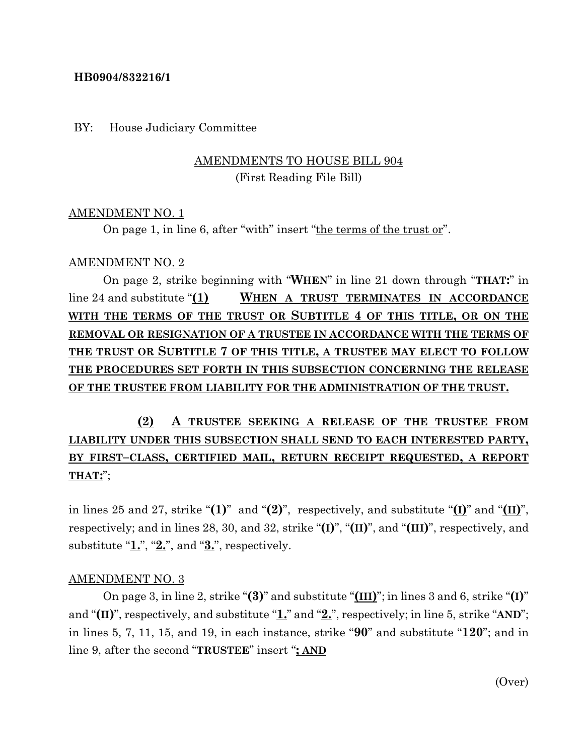### **HB0904/832216/1**

#### BY: House Judiciary Committee

## AMENDMENTS TO HOUSE BILL 904 (First Reading File Bill)

#### AMENDMENT NO. 1

On page 1, in line 6, after "with" insert "the terms of the trust or".

#### AMENDMENT NO. 2

On page 2, strike beginning with "**WHEN**" in line 21 down through "**THAT:**" in line 24 and substitute "**(1) WHEN A TRUST TERMINATES IN ACCORDANCE WITH THE TERMS OF THE TRUST OR SUBTITLE 4 OF THIS TITLE, OR ON THE REMOVAL OR RESIGNATION OF A TRUSTEE IN ACCORDANCE WITH THE TERMS OF THE TRUST OR SUBTITLE 7 OF THIS TITLE, A TRUSTEE MAY ELECT TO FOLLOW THE PROCEDURES SET FORTH IN THIS SUBSECTION CONCERNING THE RELEASE OF THE TRUSTEE FROM LIABILITY FOR THE ADMINISTRATION OF THE TRUST.**

# **(2) A TRUSTEE SEEKING A RELEASE OF THE TRUSTEE FROM LIABILITY UNDER THIS SUBSECTION SHALL SEND TO EACH INTERESTED PARTY, BY FIRST–CLASS, CERTIFIED MAIL, RETURN RECEIPT REQUESTED, A REPORT THAT:**";

in lines 25 and 27, strike " $(1)$ " and " $(2)$ ", respectively, and substitute " $(1)$ " and " $(11)$ ", respectively; and in lines 28, 30, and 32, strike "**(I)**", "**(II)**", and "**(III)**", respectively, and substitute "**1.**", "**2.**", and "**3.**", respectively.

#### AMENDMENT NO. 3

On page 3, in line 2, strike "**(3)**" and substitute "**(III)**"; in lines 3 and 6, strike "**(I)**" and "**(II)**", respectively, and substitute "**1.**" and "**2.**", respectively; in line 5, strike "**AND**"; in lines 5, 7, 11, 15, and 19, in each instance, strike "**90**" and substitute "**120**"; and in line 9, after the second "**TRUSTEE**" insert "**; AND**

(Over)